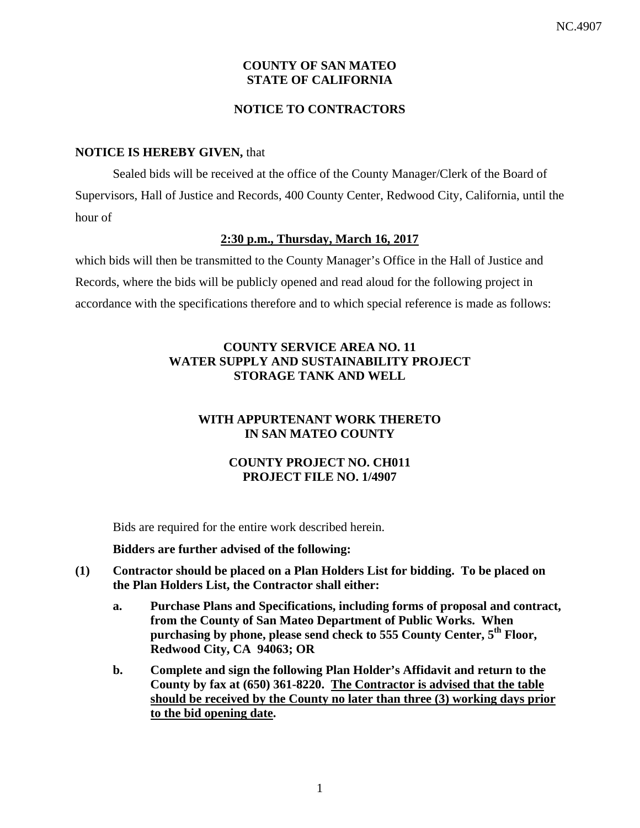# **COUNTY OF SAN MATEO STATE OF CALIFORNIA**

# **NOTICE TO CONTRACTORS**

## **NOTICE IS HEREBY GIVEN,** that

Sealed bids will be received at the office of the County Manager/Clerk of the Board of Supervisors, Hall of Justice and Records, 400 County Center, Redwood City, California, until the hour of

#### **2:30 p.m., Thursday, March 16, 2017**

which bids will then be transmitted to the County Manager's Office in the Hall of Justice and Records, where the bids will be publicly opened and read aloud for the following project in accordance with the specifications therefore and to which special reference is made as follows:

# **COUNTY SERVICE AREA NO. 11 WATER SUPPLY AND SUSTAINABILITY PROJECT STORAGE TANK AND WELL**

# **WITH APPURTENANT WORK THERETO IN SAN MATEO COUNTY**

# **COUNTY PROJECT NO. CH011 PROJECT FILE NO. 1/4907**

Bids are required for the entire work described herein.

#### **Bidders are further advised of the following:**

- **(1) Contractor should be placed on a Plan Holders List for bidding. To be placed on the Plan Holders List, the Contractor shall either:** 
	- **a. Purchase Plans and Specifications, including forms of proposal and contract, from the County of San Mateo Department of Public Works. When purchasing by phone, please send check to 555 County Center, 5th Floor, Redwood City, CA 94063; OR**
	- **b. Complete and sign the following Plan Holder's Affidavit and return to the County by fax at (650) 361-8220. The Contractor is advised that the table should be received by the County no later than three (3) working days prior to the bid opening date.**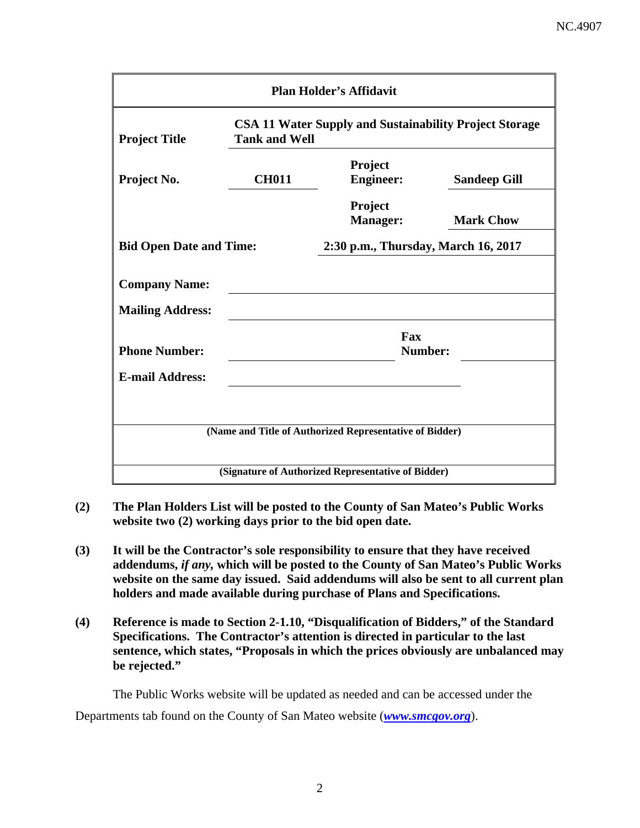| <b>Plan Holder's Affidavit</b> |                                                                                       |                                                         |                                     |  |  |
|--------------------------------|---------------------------------------------------------------------------------------|---------------------------------------------------------|-------------------------------------|--|--|
| <b>Project Title</b>           | <b>CSA 11 Water Supply and Sustainability Project Storage</b><br><b>Tank and Well</b> |                                                         |                                     |  |  |
| Project No.                    | <b>CH011</b>                                                                          | Project<br><b>Engineer:</b>                             | <b>Sandeep Gill</b>                 |  |  |
|                                |                                                                                       | Project<br><b>Manager:</b>                              | <b>Mark Chow</b>                    |  |  |
|                                | <b>Bid Open Date and Time:</b>                                                        |                                                         | 2:30 p.m., Thursday, March 16, 2017 |  |  |
| <b>Company Name:</b>           |                                                                                       |                                                         |                                     |  |  |
| <b>Mailing Address:</b>        |                                                                                       |                                                         |                                     |  |  |
| <b>Phone Number:</b>           |                                                                                       | Fax<br>Number:                                          |                                     |  |  |
| <b>E-mail Address:</b>         |                                                                                       |                                                         |                                     |  |  |
|                                |                                                                                       |                                                         |                                     |  |  |
|                                |                                                                                       | (Name and Title of Authorized Representative of Bidder) |                                     |  |  |
|                                |                                                                                       | (Signature of Authorized Representative of Bidder)      |                                     |  |  |

- **(2) The Plan Holders List will be posted to the County of San Mateo's Public Works website two (2) working days prior to the bid open date.**
- **(3) It will be the Contractor's sole responsibility to ensure that they have received addendums,** *if any,* **which will be posted to the County of San Mateo's Public Works website on the same day issued. Said addendums will also be sent to all current plan holders and made available during purchase of Plans and Specifications.**
- **(4) Reference is made to Section 2-1.10, "Disqualification of Bidders," of the Standard Specifications. The Contractor's attention is directed in particular to the last sentence, which states, "Proposals in which the prices obviously are unbalanced may be rejected."**

The Public Works website will be updated as needed and can be accessed under the Departments tab found on the County of San Mateo website (*www.smcgov.org*).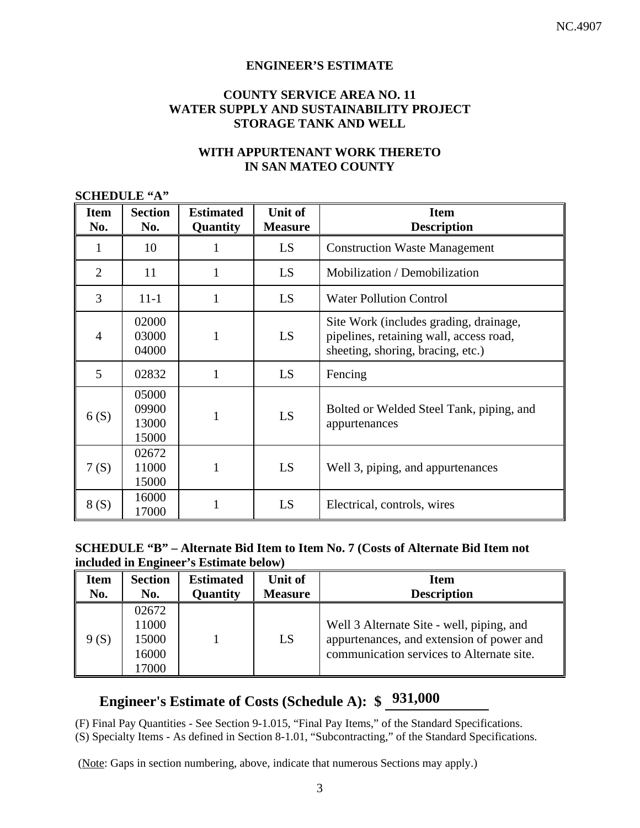#### **ENGINEER'S ESTIMATE**

# **COUNTY SERVICE AREA NO. 11 WATER SUPPLY AND SUSTAINABILITY PROJECT STORAGE TANK AND WELL**

# **WITH APPURTENANT WORK THERETO IN SAN MATEO COUNTY**

#### **SCHEDULE "A"**

| <b>Item</b><br>No. | <b>Section</b><br>No.            | <b>Estimated</b><br>Quantity | Unit of<br><b>Measure</b> | <b>Item</b><br><b>Description</b>                                                                                      |
|--------------------|----------------------------------|------------------------------|---------------------------|------------------------------------------------------------------------------------------------------------------------|
|                    | 10                               |                              | LS                        | <b>Construction Waste Management</b>                                                                                   |
| $\overline{2}$     | 11                               | 1                            | LS                        | Mobilization / Demobilization                                                                                          |
| 3                  | $11 - 1$                         | 1                            | LS                        | <b>Water Pollution Control</b>                                                                                         |
| 4                  | 02000<br>03000<br>04000          | 1                            | LS                        | Site Work (includes grading, drainage,<br>pipelines, retaining wall, access road,<br>sheeting, shoring, bracing, etc.) |
| 5                  | 02832                            | 1                            | LS                        | Fencing                                                                                                                |
| 6(S)               | 05000<br>09900<br>13000<br>15000 | 1                            | LS                        | Bolted or Welded Steel Tank, piping, and<br>appurtenances                                                              |
| 7(S)               | 02672<br>11000<br>15000          |                              | LS                        | Well 3, piping, and appurtenances                                                                                      |
| 8(S)               | 16000<br>17000                   |                              | LS                        | Electrical, controls, wires                                                                                            |

#### **SCHEDULE "B" – Alternate Bid Item to Item No. 7 (Costs of Alternate Bid Item not included in Engineer's Estimate below)**

| <b>Item</b> | <b>Section</b> | <b>Estimated</b> | Unit of        | <b>Item</b>                               |
|-------------|----------------|------------------|----------------|-------------------------------------------|
| No.         | No.            | Quantity         | <b>Measure</b> | <b>Description</b>                        |
|             | 02672          |                  |                |                                           |
|             | 11000          |                  |                | Well 3 Alternate Site - well, piping, and |
| 9(S)        | 15000          |                  | LS             | appurtenances, and extension of power and |
|             | 16000          |                  |                | communication services to Alternate site. |
|             | 17000          |                  |                |                                           |

# **Engineer's Estimate of Costs (Schedule A): \$ 931,000**

(F) Final Pay Quantities - See Section 9-1.015, "Final Pay Items," of the Standard Specifications.

(S) Specialty Items - As defined in Section 8-1.01, "Subcontracting," of the Standard Specifications.

(Note: Gaps in section numbering, above, indicate that numerous Sections may apply.)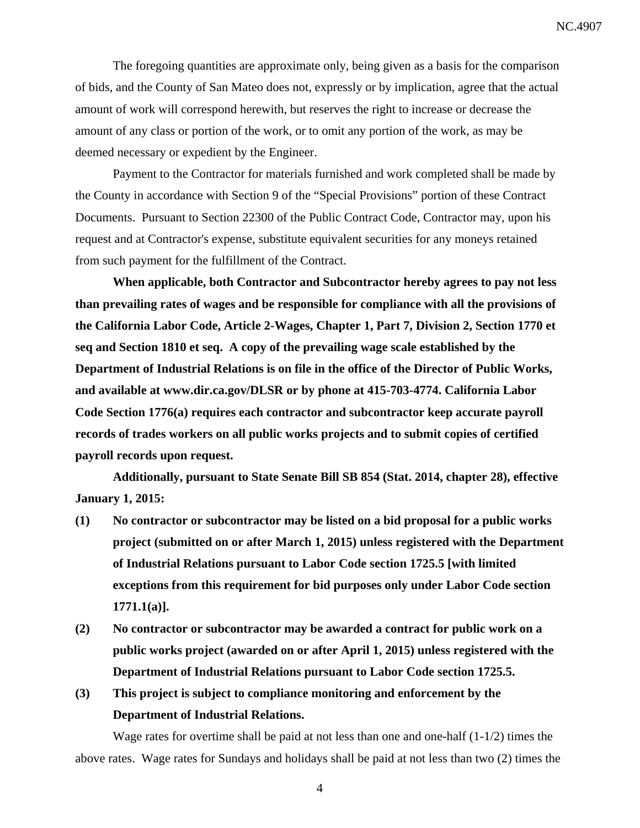The foregoing quantities are approximate only, being given as a basis for the comparison of bids, and the County of San Mateo does not, expressly or by implication, agree that the actual amount of work will correspond herewith, but reserves the right to increase or decrease the amount of any class or portion of the work, or to omit any portion of the work, as may be deemed necessary or expedient by the Engineer.

Payment to the Contractor for materials furnished and work completed shall be made by the County in accordance with Section 9 of the "Special Provisions" portion of these Contract Documents. Pursuant to Section 22300 of the Public Contract Code, Contractor may, upon his request and at Contractor's expense, substitute equivalent securities for any moneys retained from such payment for the fulfillment of the Contract.

**When applicable, both Contractor and Subcontractor hereby agrees to pay not less than prevailing rates of wages and be responsible for compliance with all the provisions of the California Labor Code, Article 2-Wages, Chapter 1, Part 7, Division 2, Section 1770 et seq and Section 1810 et seq. A copy of the prevailing wage scale established by the Department of Industrial Relations is on file in the office of the Director of Public Works, and available at www.dir.ca.gov/DLSR or by phone at 415-703-4774. California Labor Code Section 1776(a) requires each contractor and subcontractor keep accurate payroll records of trades workers on all public works projects and to submit copies of certified payroll records upon request.** 

**Additionally, pursuant to State Senate Bill SB 854 (Stat. 2014, chapter 28), effective January 1, 2015:** 

- **(1) No contractor or subcontractor may be listed on a bid proposal for a public works project (submitted on or after March 1, 2015) unless registered with the Department of Industrial Relations pursuant to Labor Code section 1725.5 [with limited exceptions from this requirement for bid purposes only under Labor Code section 1771.1(a)].**
- **(2) No contractor or subcontractor may be awarded a contract for public work on a public works project (awarded on or after April 1, 2015) unless registered with the Department of Industrial Relations pursuant to Labor Code section 1725.5.**
- **(3) This project is subject to compliance monitoring and enforcement by the Department of Industrial Relations.**

Wage rates for overtime shall be paid at not less than one and one-half  $(1-1/2)$  times the above rates. Wage rates for Sundays and holidays shall be paid at not less than two (2) times the

4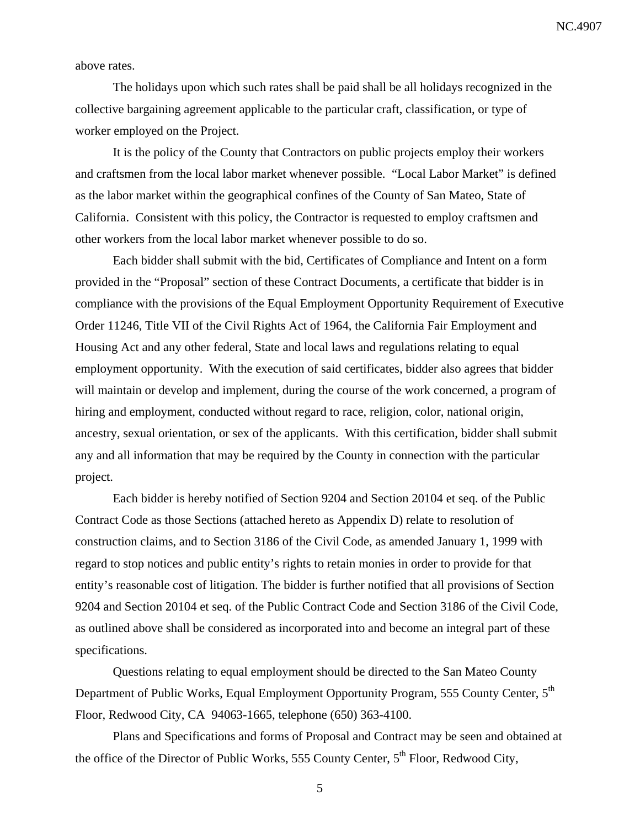above rates.

The holidays upon which such rates shall be paid shall be all holidays recognized in the collective bargaining agreement applicable to the particular craft, classification, or type of worker employed on the Project.

It is the policy of the County that Contractors on public projects employ their workers and craftsmen from the local labor market whenever possible. "Local Labor Market" is defined as the labor market within the geographical confines of the County of San Mateo, State of California. Consistent with this policy, the Contractor is requested to employ craftsmen and other workers from the local labor market whenever possible to do so.

Each bidder shall submit with the bid, Certificates of Compliance and Intent on a form provided in the "Proposal" section of these Contract Documents, a certificate that bidder is in compliance with the provisions of the Equal Employment Opportunity Requirement of Executive Order 11246, Title VII of the Civil Rights Act of 1964, the California Fair Employment and Housing Act and any other federal, State and local laws and regulations relating to equal employment opportunity. With the execution of said certificates, bidder also agrees that bidder will maintain or develop and implement, during the course of the work concerned, a program of hiring and employment, conducted without regard to race, religion, color, national origin, ancestry, sexual orientation, or sex of the applicants. With this certification, bidder shall submit any and all information that may be required by the County in connection with the particular project.

Each bidder is hereby notified of Section 9204 and Section 20104 et seq. of the Public Contract Code as those Sections (attached hereto as Appendix D) relate to resolution of construction claims, and to Section 3186 of the Civil Code, as amended January 1, 1999 with regard to stop notices and public entity's rights to retain monies in order to provide for that entity's reasonable cost of litigation. The bidder is further notified that all provisions of Section 9204 and Section 20104 et seq. of the Public Contract Code and Section 3186 of the Civil Code, as outlined above shall be considered as incorporated into and become an integral part of these specifications.

Questions relating to equal employment should be directed to the San Mateo County Department of Public Works, Equal Employment Opportunity Program, 555 County Center, 5<sup>th</sup> Floor, Redwood City, CA 94063-1665, telephone (650) 363-4100.

Plans and Specifications and forms of Proposal and Contract may be seen and obtained at the office of the Director of Public Works, 555 County Center,  $5<sup>th</sup>$  Floor, Redwood City,

5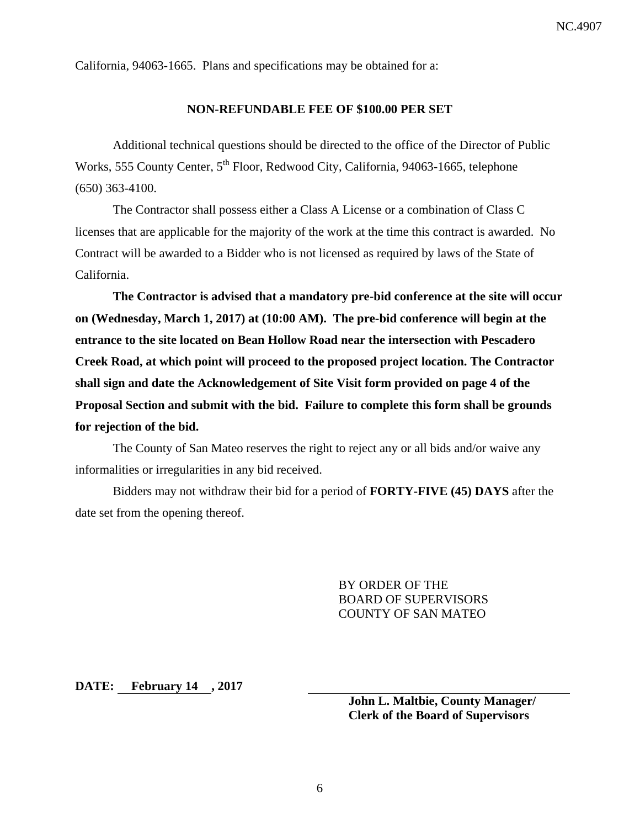California, 94063-1665. Plans and specifications may be obtained for a:

#### **NON-REFUNDABLE FEE OF \$100.00 PER SET**

Additional technical questions should be directed to the office of the Director of Public Works, 555 County Center, 5<sup>th</sup> Floor, Redwood City, California, 94063-1665, telephone (650) 363-4100.

The Contractor shall possess either a Class A License or a combination of Class C licenses that are applicable for the majority of the work at the time this contract is awarded. No Contract will be awarded to a Bidder who is not licensed as required by laws of the State of California.

**The Contractor is advised that a mandatory pre-bid conference at the site will occur on (Wednesday, March 1, 2017) at (10:00 AM). The pre-bid conference will begin at the entrance to the site located on Bean Hollow Road near the intersection with Pescadero Creek Road, at which point will proceed to the proposed project location. The Contractor shall sign and date the Acknowledgement of Site Visit form provided on page 4 of the Proposal Section and submit with the bid. Failure to complete this form shall be grounds for rejection of the bid.** 

The County of San Mateo reserves the right to reject any or all bids and/or waive any informalities or irregularities in any bid received.

Bidders may not withdraw their bid for a period of **FORTY-FIVE (45) DAYS** after the date set from the opening thereof.

> BY ORDER OF THE BOARD OF SUPERVISORS COUNTY OF SAN MATEO

**DATE: February 14 , 2017** 

**John L. Maltbie, County Manager/ Clerk of the Board of Supervisors**